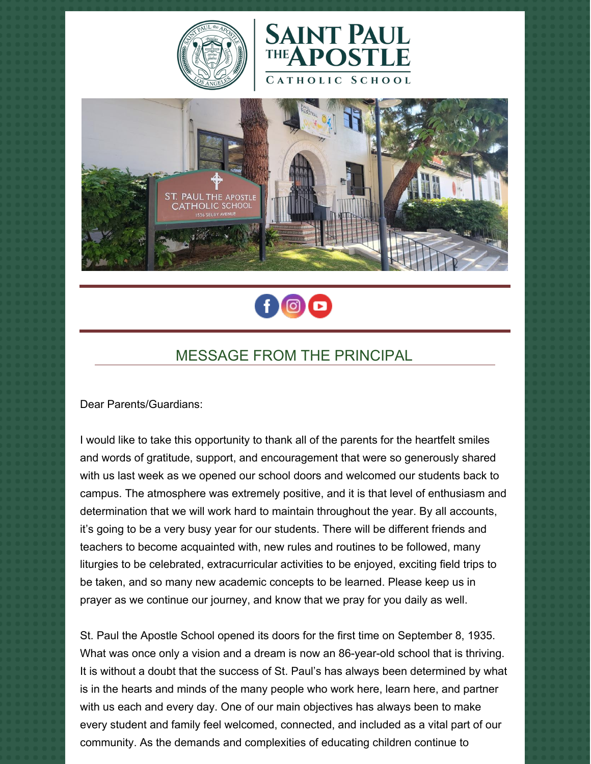







## MESSAGE FROM THE PRINCIPAL

Dear Parents/Guardians:

I would like to take this opportunity to thank all of the parents for the heartfelt smiles and words of gratitude, support, and encouragement that were so generously shared with us last week as we opened our school doors and welcomed our students back to campus. The atmosphere was extremely positive, and it is that level of enthusiasm and determination that we will work hard to maintain throughout the year. By all accounts, it's going to be a very busy year for our students. There will be different friends and teachers to become acquainted with, new rules and routines to be followed, many liturgies to be celebrated, extracurricular activities to be enjoyed, exciting field trips to be taken, and so many new academic concepts to be learned. Please keep us in prayer as we continue our journey, and know that we pray for you daily as well.

St. Paul the Apostle School opened its doors for the first time on September 8, 1935. What was once only a vision and a dream is now an 86-year-old school that is thriving. It is without a doubt that the success of St. Paul's has always been determined by what is in the hearts and minds of the many people who work here, learn here, and partner with us each and every day. One of our main objectives has always been to make every student and family feel welcomed, connected, and included as a vital part of our community. As the demands and complexities of educating children continue to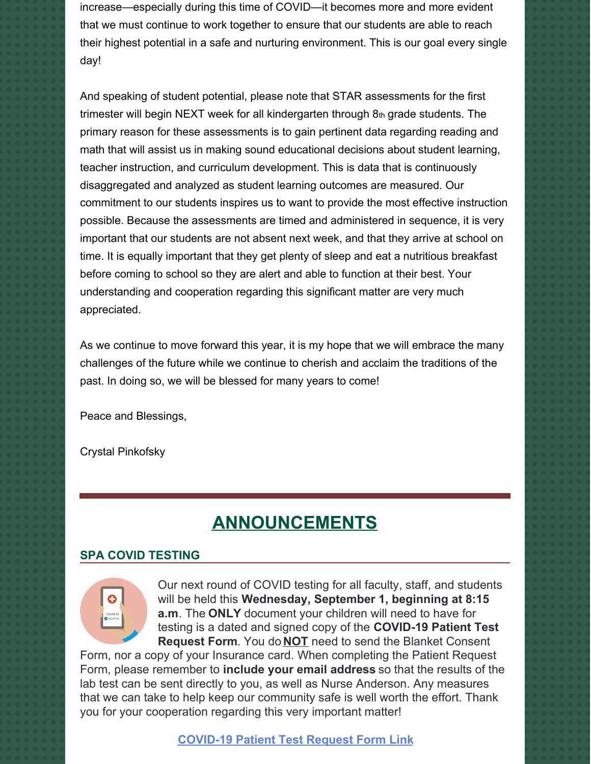increase—especially during this time of COVID—it becomes more and more evident that we must continue to work together to ensure that our students are able to reach their highest potential in a safe and nurturing environment. This is our goal every single day!

And speaking of student potential, please note that STAR assessments for the first trimester will begin NEXT week for all kindergarten through 8th grade students. The primary reason for these assessments is to gain pertinent data regarding reading and math that will assist us in making sound educational decisions about student learning, teacher instruction, and curriculum development. This is data that is continuously disaggregated and analyzed as student learning outcomes are measured. Our commitment to our students inspires us to want to provide the most effective instruction possible. Because the assessments are timed and administered in sequence, it is very important that our students are not absent next week, and that they arrive at school on time. It is equally important that they get plenty of sleep and eat a nutritious breakfast before coming to school so they are alert and able to function at their best. Your understanding and cooperation regarding this significant matter are very much appreciated.

As we continue to move forward this year, it is my hope that we will embrace the many challenges of the future while we continue to cherish and acclaim the traditions of the past. In doing so, we will be blessed for many years to come!

Peace and Blessings,

Crystal Pinkofsky

# **ANNOUNCEMENTS**

#### **SPA COVID TESTING**



Our next round of COVID testing for all faculty, staff, and students will be held this **Wednesday, September 1, beginning at 8:15 a.m**. The **ONLY** document your children will need to have for testing is a dated and signed copy of the **COVID-19 Patient Test Request Form**. You do **NOT** need to send the Blanket Consent

Form, nor a copy of your Insurance card. When completing the Patient Request Form, please remember to **include your email address** so that the results of the lab test can be sent directly to you, as well as Nurse Anderson. Any measures that we can take to help keep our community safe is well worth the effort. Thank you for your cooperation regarding this very important matter!

**[COVID-19](https://school.sp-apostle.org/wp-content/uploads/2021/08/PATIENT-REQ-FORM-7-15-21.pdf) Patient Test Request Form Link**